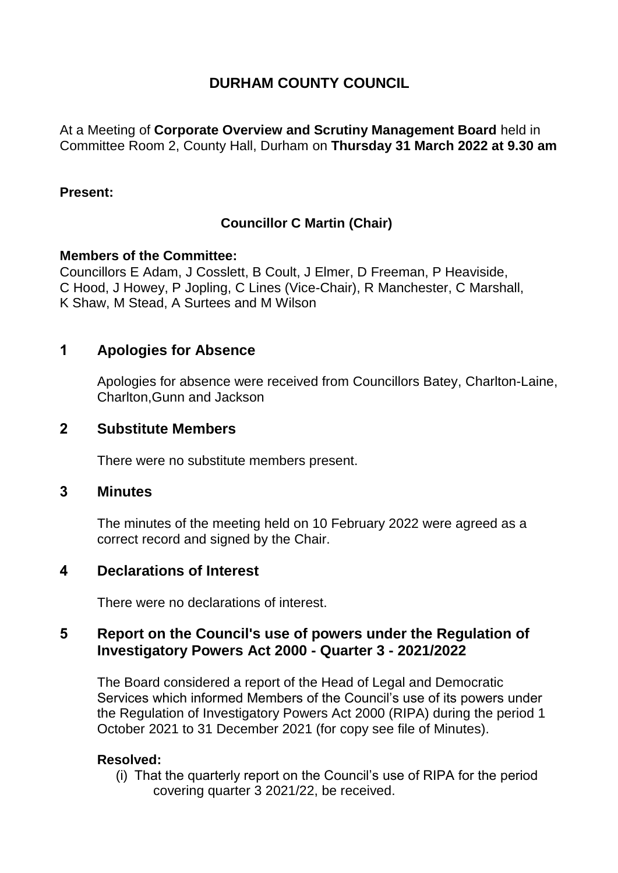# **DURHAM COUNTY COUNCIL**

At a Meeting of **Corporate Overview and Scrutiny Management Board** held in Committee Room 2, County Hall, Durham on **Thursday 31 March 2022 at 9.30 am**

#### **Present:**

# **Councillor C Martin (Chair)**

#### **Members of the Committee:**

Councillors E Adam, J Cosslett, B Coult, J Elmer, D Freeman, P Heaviside, C Hood, J Howey, P Jopling, C Lines (Vice-Chair), R Manchester, C Marshall, K Shaw, M Stead, A Surtees and M Wilson

# **1 Apologies for Absence**

Apologies for absence were received from Councillors Batey, Charlton-Laine, Charlton,Gunn and Jackson

### **2 Substitute Members**

There were no substitute members present.

### **3 Minutes**

The minutes of the meeting held on 10 February 2022 were agreed as a correct record and signed by the Chair.

# **4 Declarations of Interest**

There were no declarations of interest.

### **5 Report on the Council's use of powers under the Regulation of Investigatory Powers Act 2000 - Quarter 3 - 2021/2022**

The Board considered a report of the Head of Legal and Democratic Services which informed Members of the Council's use of its powers under the Regulation of Investigatory Powers Act 2000 (RIPA) during the period 1 October 2021 to 31 December 2021 (for copy see file of Minutes).

### **Resolved:**

(i) That the quarterly report on the Council's use of RIPA for the period covering quarter 3 2021/22, be received.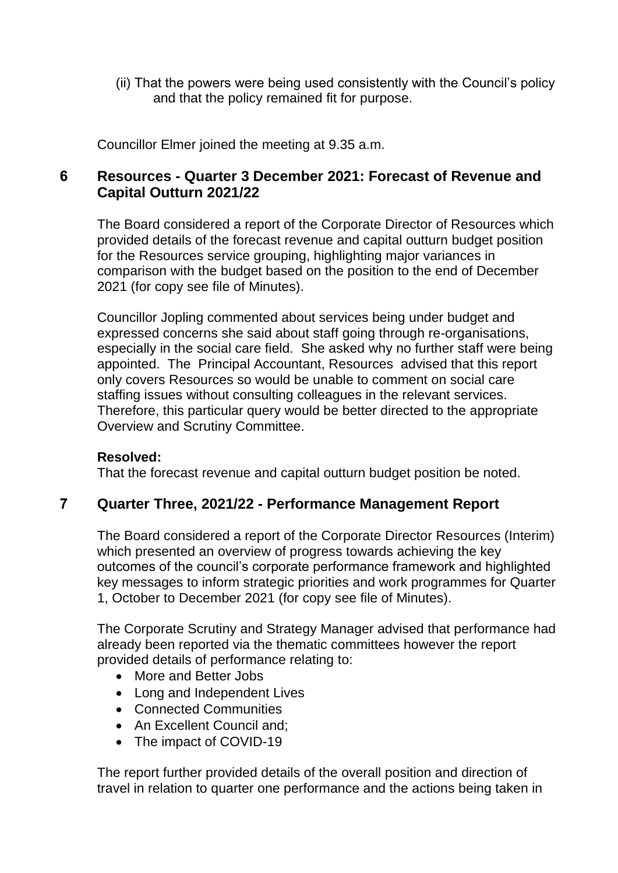(ii) That the powers were being used consistently with the Council's policy and that the policy remained fit for purpose.

Councillor Elmer joined the meeting at 9.35 a.m.

# **6 Resources - Quarter 3 December 2021: Forecast of Revenue and Capital Outturn 2021/22**

The Board considered a report of the Corporate Director of Resources which provided details of the forecast revenue and capital outturn budget position for the Resources service grouping, highlighting major variances in comparison with the budget based on the position to the end of December 2021 (for copy see file of Minutes).

Councillor Jopling commented about services being under budget and expressed concerns she said about staff going through re-organisations, especially in the social care field. She asked why no further staff were being appointed. The Principal Accountant, Resources advised that this report only covers Resources so would be unable to comment on social care staffing issues without consulting colleagues in the relevant services. Therefore, this particular query would be better directed to the appropriate Overview and Scrutiny Committee.

#### **Resolved:**

That the forecast revenue and capital outturn budget position be noted.

# **7 Quarter Three, 2021/22 - Performance Management Report**

The Board considered a report of the Corporate Director Resources (Interim) which presented an overview of progress towards achieving the key outcomes of the council's corporate performance framework and highlighted key messages to inform strategic priorities and work programmes for Quarter 1, October to December 2021 (for copy see file of Minutes).

The Corporate Scrutiny and Strategy Manager advised that performance had already been reported via the thematic committees however the report provided details of performance relating to:

- More and Better Jobs
- Long and Independent Lives
- Connected Communities
- An Excellent Council and;
- The impact of COVID-19

The report further provided details of the overall position and direction of travel in relation to quarter one performance and the actions being taken in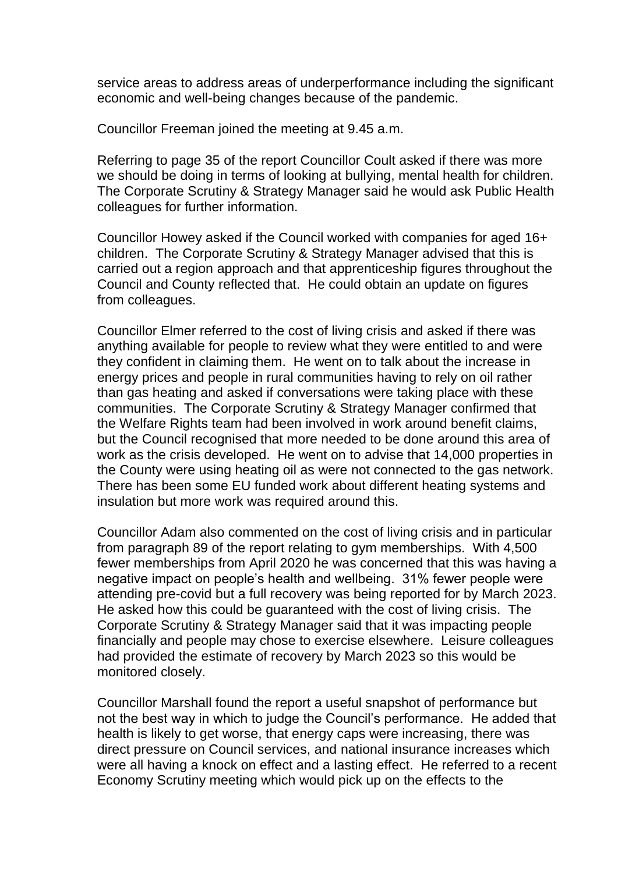service areas to address areas of underperformance including the significant economic and well-being changes because of the pandemic.

Councillor Freeman joined the meeting at 9.45 a.m.

Referring to page 35 of the report Councillor Coult asked if there was more we should be doing in terms of looking at bullying, mental health for children. The Corporate Scrutiny & Strategy Manager said he would ask Public Health colleagues for further information.

Councillor Howey asked if the Council worked with companies for aged 16+ children. The Corporate Scrutiny & Strategy Manager advised that this is carried out a region approach and that apprenticeship figures throughout the Council and County reflected that. He could obtain an update on figures from colleagues.

Councillor Elmer referred to the cost of living crisis and asked if there was anything available for people to review what they were entitled to and were they confident in claiming them. He went on to talk about the increase in energy prices and people in rural communities having to rely on oil rather than gas heating and asked if conversations were taking place with these communities. The Corporate Scrutiny & Strategy Manager confirmed that the Welfare Rights team had been involved in work around benefit claims, but the Council recognised that more needed to be done around this area of work as the crisis developed. He went on to advise that 14,000 properties in the County were using heating oil as were not connected to the gas network. There has been some EU funded work about different heating systems and insulation but more work was required around this.

Councillor Adam also commented on the cost of living crisis and in particular from paragraph 89 of the report relating to gym memberships. With 4,500 fewer memberships from April 2020 he was concerned that this was having a negative impact on people's health and wellbeing. 31% fewer people were attending pre-covid but a full recovery was being reported for by March 2023. He asked how this could be guaranteed with the cost of living crisis. The Corporate Scrutiny & Strategy Manager said that it was impacting people financially and people may chose to exercise elsewhere. Leisure colleagues had provided the estimate of recovery by March 2023 so this would be monitored closely.

Councillor Marshall found the report a useful snapshot of performance but not the best way in which to judge the Council's performance. He added that health is likely to get worse, that energy caps were increasing, there was direct pressure on Council services, and national insurance increases which were all having a knock on effect and a lasting effect. He referred to a recent Economy Scrutiny meeting which would pick up on the effects to the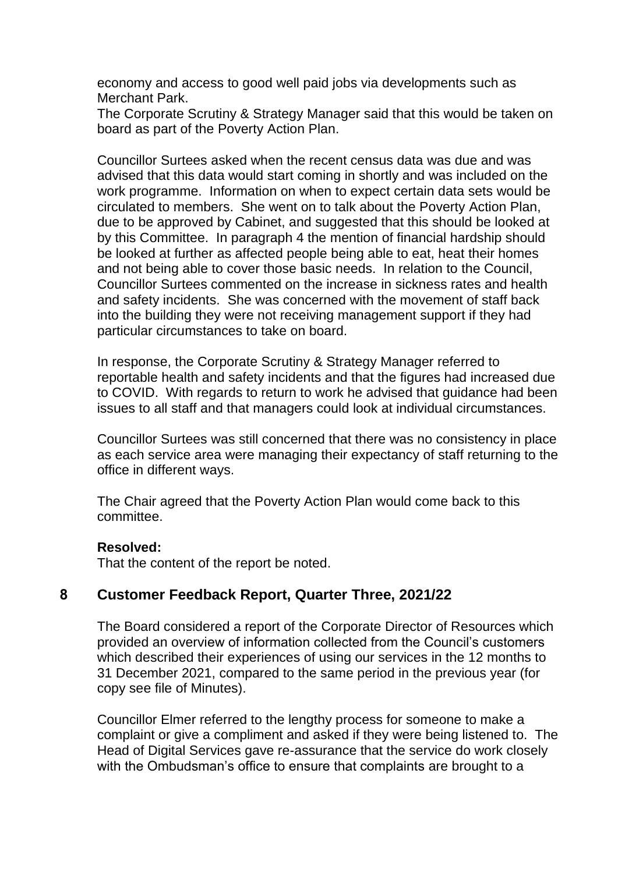economy and access to good well paid jobs via developments such as Merchant Park.

The Corporate Scrutiny & Strategy Manager said that this would be taken on board as part of the Poverty Action Plan.

Councillor Surtees asked when the recent census data was due and was advised that this data would start coming in shortly and was included on the work programme. Information on when to expect certain data sets would be circulated to members. She went on to talk about the Poverty Action Plan, due to be approved by Cabinet, and suggested that this should be looked at by this Committee. In paragraph 4 the mention of financial hardship should be looked at further as affected people being able to eat, heat their homes and not being able to cover those basic needs. In relation to the Council, Councillor Surtees commented on the increase in sickness rates and health and safety incidents. She was concerned with the movement of staff back into the building they were not receiving management support if they had particular circumstances to take on board.

In response, the Corporate Scrutiny & Strategy Manager referred to reportable health and safety incidents and that the figures had increased due to COVID. With regards to return to work he advised that guidance had been issues to all staff and that managers could look at individual circumstances.

Councillor Surtees was still concerned that there was no consistency in place as each service area were managing their expectancy of staff returning to the office in different ways.

The Chair agreed that the Poverty Action Plan would come back to this committee.

#### **Resolved:**

That the content of the report be noted.

# **8 Customer Feedback Report, Quarter Three, 2021/22**

The Board considered a report of the Corporate Director of Resources which provided an overview of information collected from the Council's customers which described their experiences of using our services in the 12 months to 31 December 2021, compared to the same period in the previous year (for copy see file of Minutes).

Councillor Elmer referred to the lengthy process for someone to make a complaint or give a compliment and asked if they were being listened to. The Head of Digital Services gave re-assurance that the service do work closely with the Ombudsman's office to ensure that complaints are brought to a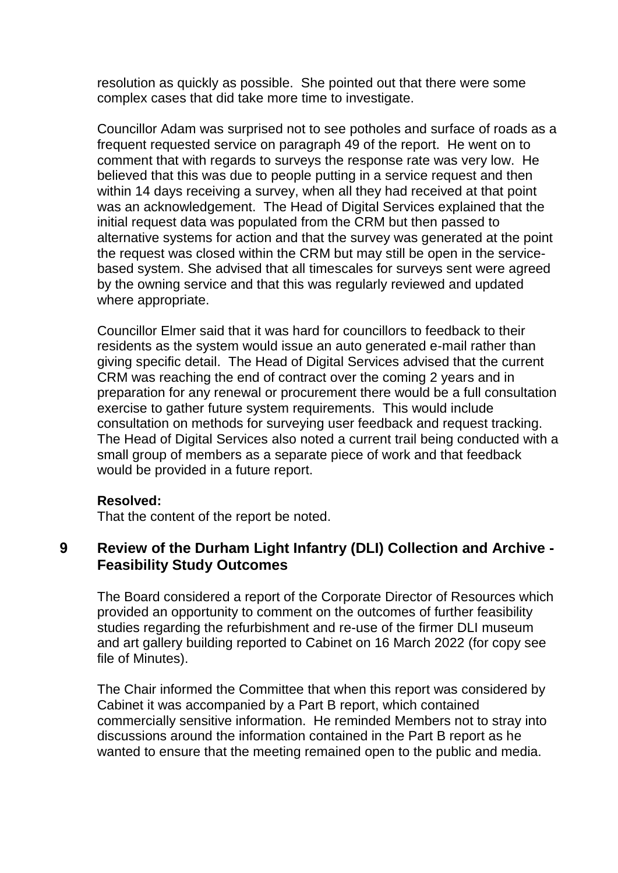resolution as quickly as possible. She pointed out that there were some complex cases that did take more time to investigate.

Councillor Adam was surprised not to see potholes and surface of roads as a frequent requested service on paragraph 49 of the report. He went on to comment that with regards to surveys the response rate was very low. He believed that this was due to people putting in a service request and then within 14 days receiving a survey, when all they had received at that point was an acknowledgement. The Head of Digital Services explained that the initial request data was populated from the CRM but then passed to alternative systems for action and that the survey was generated at the point the request was closed within the CRM but may still be open in the servicebased system. She advised that all timescales for surveys sent were agreed by the owning service and that this was regularly reviewed and updated where appropriate.

Councillor Elmer said that it was hard for councillors to feedback to their residents as the system would issue an auto generated e-mail rather than giving specific detail. The Head of Digital Services advised that the current CRM was reaching the end of contract over the coming 2 years and in preparation for any renewal or procurement there would be a full consultation exercise to gather future system requirements. This would include consultation on methods for surveying user feedback and request tracking. The Head of Digital Services also noted a current trail being conducted with a small group of members as a separate piece of work and that feedback would be provided in a future report.

#### **Resolved:**

That the content of the report be noted.

### **9 Review of the Durham Light Infantry (DLI) Collection and Archive - Feasibility Study Outcomes**

The Board considered a report of the Corporate Director of Resources which provided an opportunity to comment on the outcomes of further feasibility studies regarding the refurbishment and re-use of the firmer DLI museum and art gallery building reported to Cabinet on 16 March 2022 (for copy see file of Minutes).

The Chair informed the Committee that when this report was considered by Cabinet it was accompanied by a Part B report, which contained commercially sensitive information. He reminded Members not to stray into discussions around the information contained in the Part B report as he wanted to ensure that the meeting remained open to the public and media.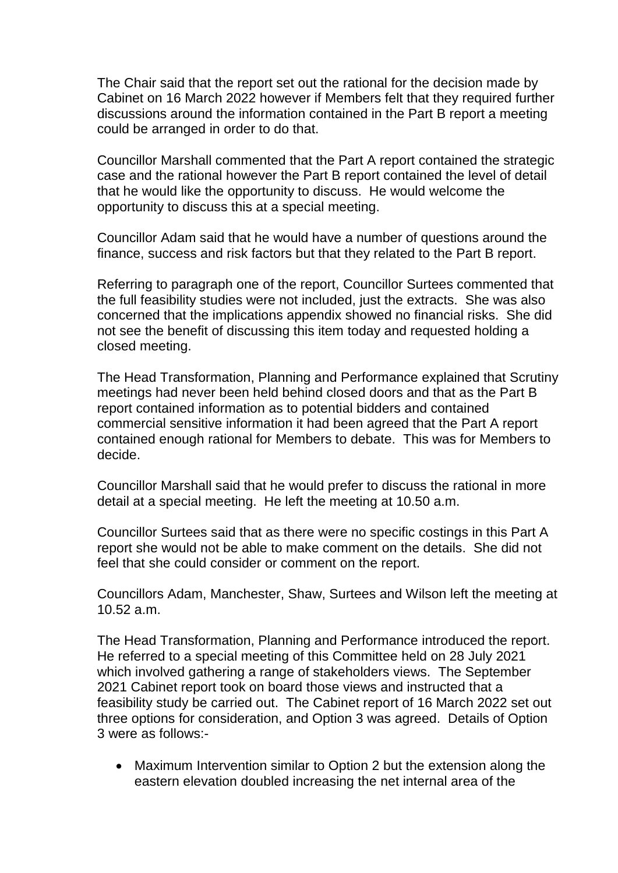The Chair said that the report set out the rational for the decision made by Cabinet on 16 March 2022 however if Members felt that they required further discussions around the information contained in the Part B report a meeting could be arranged in order to do that.

Councillor Marshall commented that the Part A report contained the strategic case and the rational however the Part B report contained the level of detail that he would like the opportunity to discuss. He would welcome the opportunity to discuss this at a special meeting.

Councillor Adam said that he would have a number of questions around the finance, success and risk factors but that they related to the Part B report.

Referring to paragraph one of the report, Councillor Surtees commented that the full feasibility studies were not included, just the extracts. She was also concerned that the implications appendix showed no financial risks. She did not see the benefit of discussing this item today and requested holding a closed meeting.

The Head Transformation, Planning and Performance explained that Scrutiny meetings had never been held behind closed doors and that as the Part B report contained information as to potential bidders and contained commercial sensitive information it had been agreed that the Part A report contained enough rational for Members to debate. This was for Members to decide.

Councillor Marshall said that he would prefer to discuss the rational in more detail at a special meeting. He left the meeting at 10.50 a.m.

Councillor Surtees said that as there were no specific costings in this Part A report she would not be able to make comment on the details. She did not feel that she could consider or comment on the report.

Councillors Adam, Manchester, Shaw, Surtees and Wilson left the meeting at 10.52 a.m.

The Head Transformation, Planning and Performance introduced the report. He referred to a special meeting of this Committee held on 28 July 2021 which involved gathering a range of stakeholders views. The September 2021 Cabinet report took on board those views and instructed that a feasibility study be carried out. The Cabinet report of 16 March 2022 set out three options for consideration, and Option 3 was agreed. Details of Option 3 were as follows:-

 Maximum Intervention similar to Option 2 but the extension along the eastern elevation doubled increasing the net internal area of the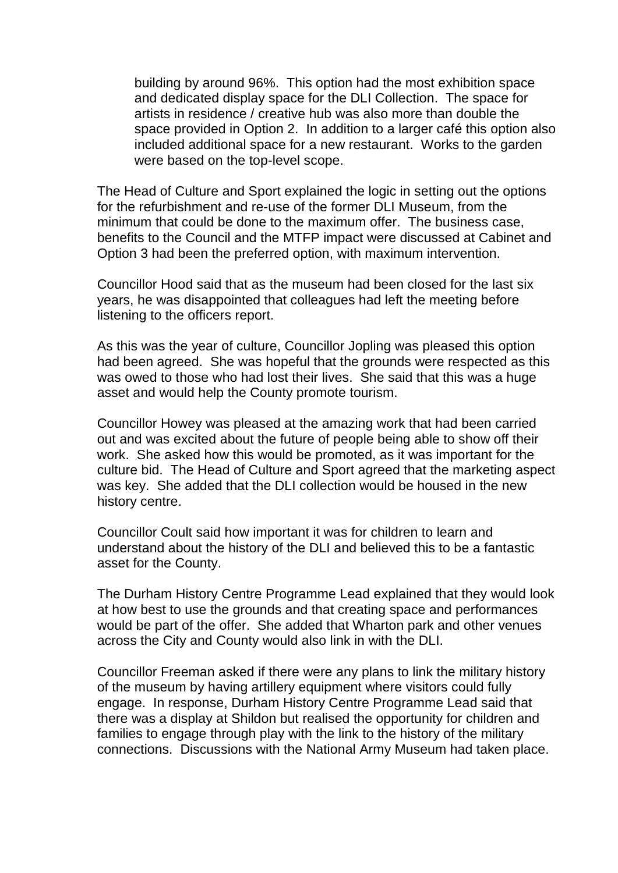building by around 96%. This option had the most exhibition space and dedicated display space for the DLI Collection. The space for artists in residence / creative hub was also more than double the space provided in Option 2. In addition to a larger café this option also included additional space for a new restaurant. Works to the garden were based on the top-level scope.

The Head of Culture and Sport explained the logic in setting out the options for the refurbishment and re-use of the former DLI Museum, from the minimum that could be done to the maximum offer. The business case, benefits to the Council and the MTFP impact were discussed at Cabinet and Option 3 had been the preferred option, with maximum intervention.

Councillor Hood said that as the museum had been closed for the last six years, he was disappointed that colleagues had left the meeting before listening to the officers report.

As this was the year of culture, Councillor Jopling was pleased this option had been agreed. She was hopeful that the grounds were respected as this was owed to those who had lost their lives. She said that this was a huge asset and would help the County promote tourism.

Councillor Howey was pleased at the amazing work that had been carried out and was excited about the future of people being able to show off their work. She asked how this would be promoted, as it was important for the culture bid. The Head of Culture and Sport agreed that the marketing aspect was key. She added that the DLI collection would be housed in the new history centre.

Councillor Coult said how important it was for children to learn and understand about the history of the DLI and believed this to be a fantastic asset for the County.

The Durham History Centre Programme Lead explained that they would look at how best to use the grounds and that creating space and performances would be part of the offer. She added that Wharton park and other venues across the City and County would also link in with the DLI.

Councillor Freeman asked if there were any plans to link the military history of the museum by having artillery equipment where visitors could fully engage. In response, Durham History Centre Programme Lead said that there was a display at Shildon but realised the opportunity for children and families to engage through play with the link to the history of the military connections. Discussions with the National Army Museum had taken place.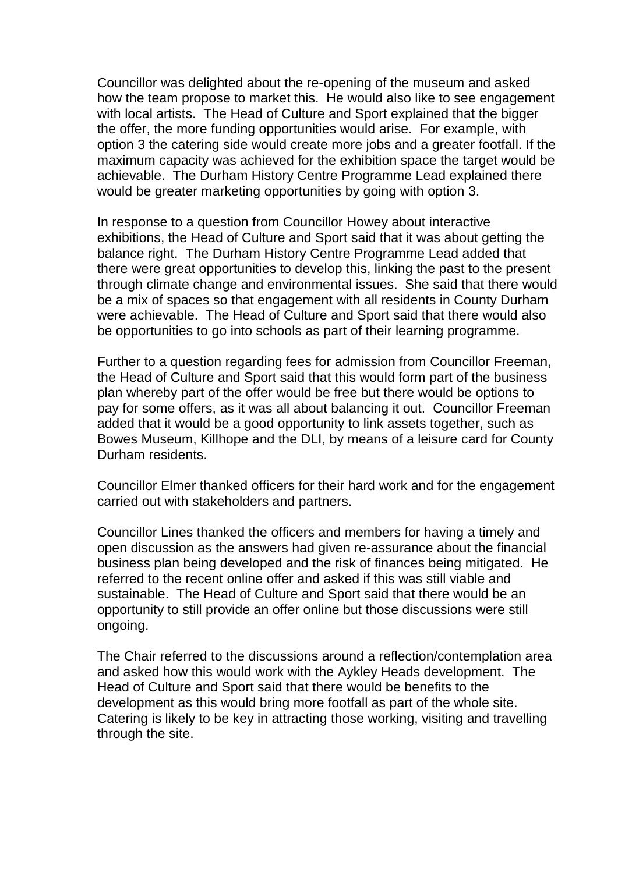Councillor was delighted about the re-opening of the museum and asked how the team propose to market this. He would also like to see engagement with local artists. The Head of Culture and Sport explained that the bigger the offer, the more funding opportunities would arise. For example, with option 3 the catering side would create more jobs and a greater footfall. If the maximum capacity was achieved for the exhibition space the target would be achievable. The Durham History Centre Programme Lead explained there would be greater marketing opportunities by going with option 3.

In response to a question from Councillor Howey about interactive exhibitions, the Head of Culture and Sport said that it was about getting the balance right. The Durham History Centre Programme Lead added that there were great opportunities to develop this, linking the past to the present through climate change and environmental issues. She said that there would be a mix of spaces so that engagement with all residents in County Durham were achievable. The Head of Culture and Sport said that there would also be opportunities to go into schools as part of their learning programme.

Further to a question regarding fees for admission from Councillor Freeman, the Head of Culture and Sport said that this would form part of the business plan whereby part of the offer would be free but there would be options to pay for some offers, as it was all about balancing it out. Councillor Freeman added that it would be a good opportunity to link assets together, such as Bowes Museum, Killhope and the DLI, by means of a leisure card for County Durham residents.

Councillor Elmer thanked officers for their hard work and for the engagement carried out with stakeholders and partners.

Councillor Lines thanked the officers and members for having a timely and open discussion as the answers had given re-assurance about the financial business plan being developed and the risk of finances being mitigated. He referred to the recent online offer and asked if this was still viable and sustainable. The Head of Culture and Sport said that there would be an opportunity to still provide an offer online but those discussions were still ongoing.

The Chair referred to the discussions around a reflection/contemplation area and asked how this would work with the Aykley Heads development. The Head of Culture and Sport said that there would be benefits to the development as this would bring more footfall as part of the whole site. Catering is likely to be key in attracting those working, visiting and travelling through the site.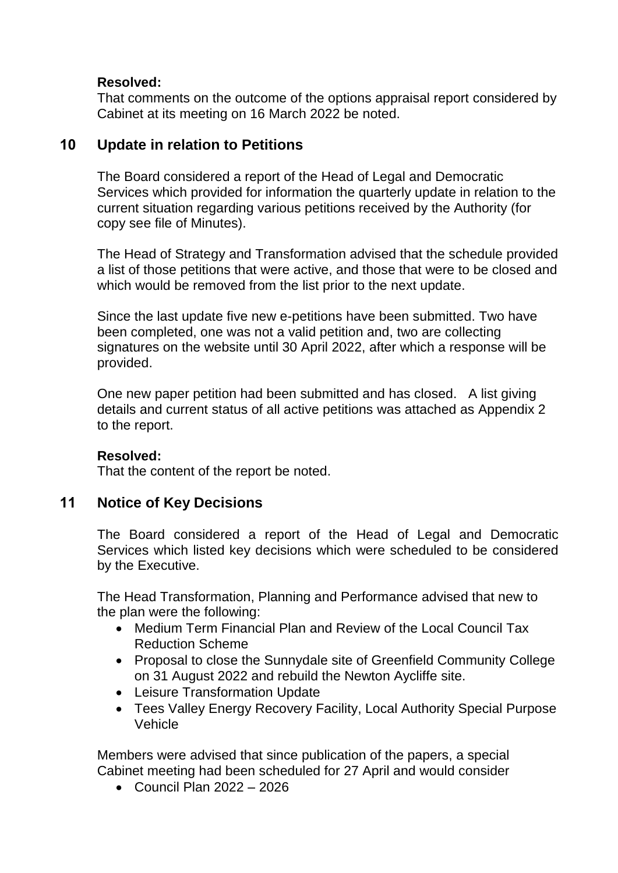### **Resolved:**

That comments on the outcome of the options appraisal report considered by Cabinet at its meeting on 16 March 2022 be noted.

# **10 Update in relation to Petitions**

The Board considered a report of the Head of Legal and Democratic Services which provided for information the quarterly update in relation to the current situation regarding various petitions received by the Authority (for copy see file of Minutes).

The Head of Strategy and Transformation advised that the schedule provided a list of those petitions that were active, and those that were to be closed and which would be removed from the list prior to the next update.

Since the last update five new e-petitions have been submitted. Two have been completed, one was not a valid petition and, two are collecting signatures on the website until 30 April 2022, after which a response will be provided.

One new paper petition had been submitted and has closed. A list giving details and current status of all active petitions was attached as Appendix 2 to the report.

### **Resolved:**

That the content of the report be noted.

# **11 Notice of Key Decisions**

The Board considered a report of the Head of Legal and Democratic Services which listed key decisions which were scheduled to be considered by the Executive.

The Head Transformation, Planning and Performance advised that new to the plan were the following:

- Medium Term Financial Plan and Review of the Local Council Tax Reduction Scheme
- Proposal to close the Sunnydale site of Greenfield Community College on 31 August 2022 and rebuild the Newton Aycliffe site.
- Leisure Transformation Update
- Tees Valley Energy Recovery Facility, Local Authority Special Purpose Vehicle

Members were advised that since publication of the papers, a special Cabinet meeting had been scheduled for 27 April and would consider

 $\bullet$  Council Plan 2022 – 2026